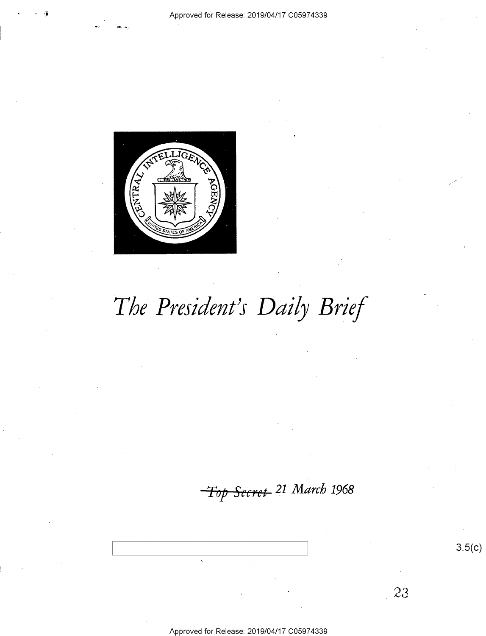

Approved for Release: 2019/04/17 C05974339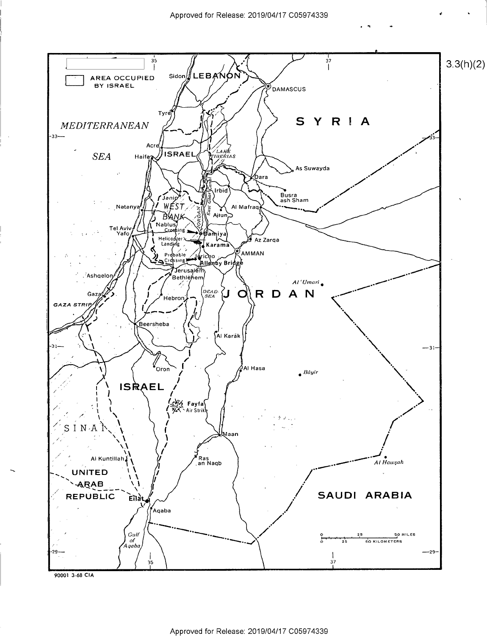

Approved for Release: 2019/04/17 C05974339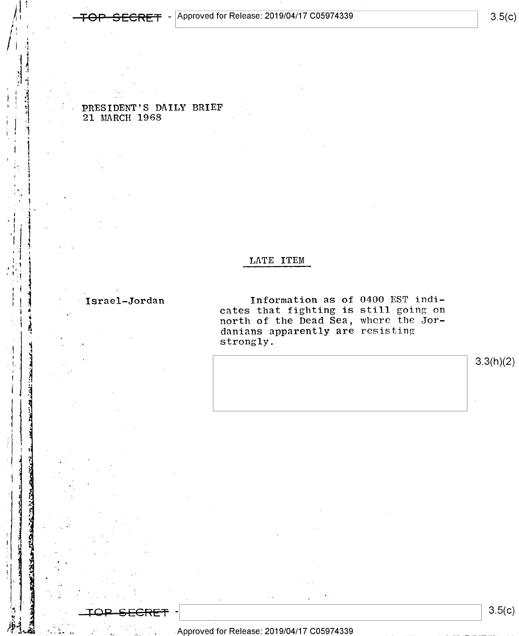$3.5(c)$ 

PRESIDENT'S DAILY BRIEF 21 MARCH 1968

### LATE ITEM

#### Israel-Jordan

Information as of 0400 EST indicates that fighting is still going on<br>north of the Dead Sea, where the Jor-<br>danians apparently are resisting strongly.

 $3.3(h)(2)$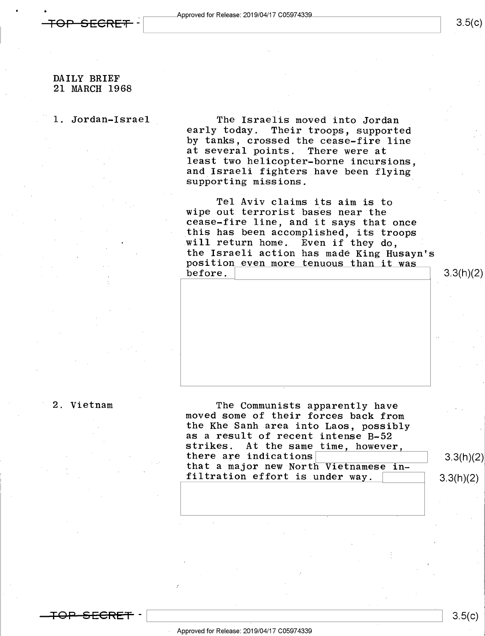$^{\ast}$ 

#### DAILY BRIEF 21 MARCH 1968

l. Jordan-Israel The Israelis moved into Jordan Their troops, supported by tanks, crossed the cease-fire line at several points. There were at<br>least two helicopter-borne incursions. and Israeli fighters have been flying supporting missions.

> Tel Aviv claims its aim is to wipe out terrorist bases near the cease-fire line, and it says that once this has been accomplished, its troops will return home. Even if they do, the Israeli action has made King Husayn's<br>position even more tenuous than it was<br>before.

<del>TOP SECRET</del> –

2. Vietnam The Communists apparently have moved some of their forces back from the Khe Sanh area into Laos, possibly as a result of recent intense B-52<br>strikes. At the same time, however, there are indications that a major new North Vietnamese in-<br>
filtration effort is under way. 3.3(h)(2)

 $3.3(h)(2)$ 

 $3.5(c)$ 

- Approved for Release: 2019/04/17 C05974339

\ \ 3.5(c)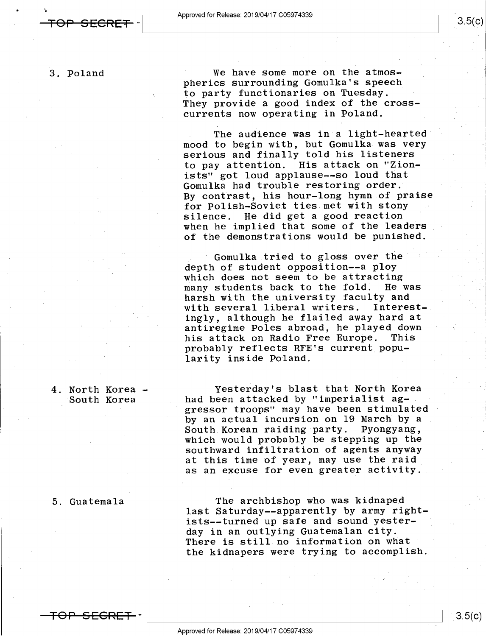3. Poland

We have some more on the atmospherics surrounding Gomulka's speech to party functionaries on Tuesday. They provide a good index of the crosscurrents now operating in Poland.

The audience was in a light-hearted mood to begin with, but Gomulka was very serious and finally told his listeners to pay attention. His attack on "Zionists" got loud applause--so loud that Gomulka had trouble restoring order. By contrast, his hour-long hymn of praise for Polish-Soviet ties.met with stony . silence. He did get a good reaction when he implied that some of the leaders of the demonstrations would be punished.

Gomulka tried to gloss over the depth of student opposition--a ploy which does not seem to be attracting<br>many students back to the fold. He was many students back to the fold. harsh with the university faculty and<br>with several liberal writers. Interestwith several liberal writers. ingly, although he flailed away hard at antiregime Poles abroad, he played down ' his attack on Radio Free Europe. This probably reflects RFE's current popularity inside Poland.

Yesterday's blast that North Korea had been attacked by "imperialist aggressor troops" may have been stimulated by an actual incursion on 19 March by a<br>South Korean raiding party. Pyongyang, South Korean raiding party. which would probably be stepping up the southward infiltration of agents anyway at this time of year, may use the raid as an excuse for even greater activity.

The archbishop who was kidnaped last Saturday--apparently by army rightists--turned up safe and sound yester- ' day in an outlying Guatemalan city. There is still no information on what the kidnapers were trying to accomplish,

4. North Korea - South Korea

#### 5. Guatemala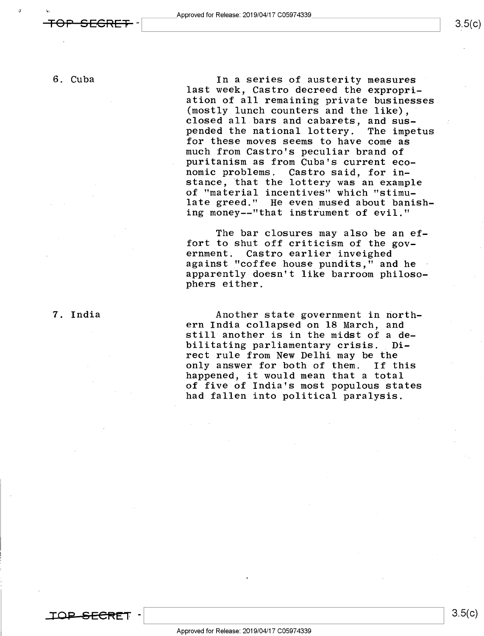'n

6. Cuba In a series of austerity measures last week, Castro decreed the expropriation of all remaining private businesses (mostly lunch counters and the like), closed all bars and cabarets, and sus-<br>pended the national lottery. The impetus pended the national lottery. for these moves seems to have come as<br>much from Castro's peculiar brand of puritanism as from Cuba's current economic problems. Castro said, for instance, that the lottery was an example of "material incentives" which "stimulate greed." He even mused about banishing money--"that instrument of evil."

> The bar closures may also be an effort to shut off criticism of the government. Castro earlier inveighed against "coffee house pundits," and he <sup>~</sup> apparently doesn't like barroom philosophers either.

7. India 1988 - Another state government in north-<br>1987 - The Paris ern India collapsed on 18 March, and still another is in the midst of a debilitating parliamentary crisis. Direct rule from New Delhi may be the only answer for both of them. If this happened, it would mean that a total of five of India's most populous states had fallen into political paralysis.

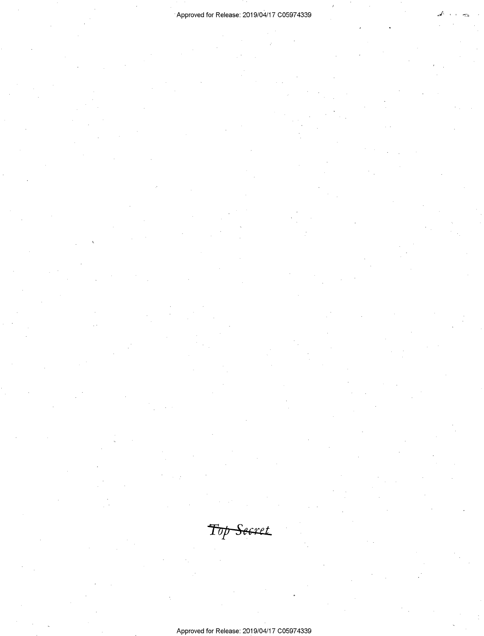/

Approved for Release: 2019/04/17 C05974339

Top Secret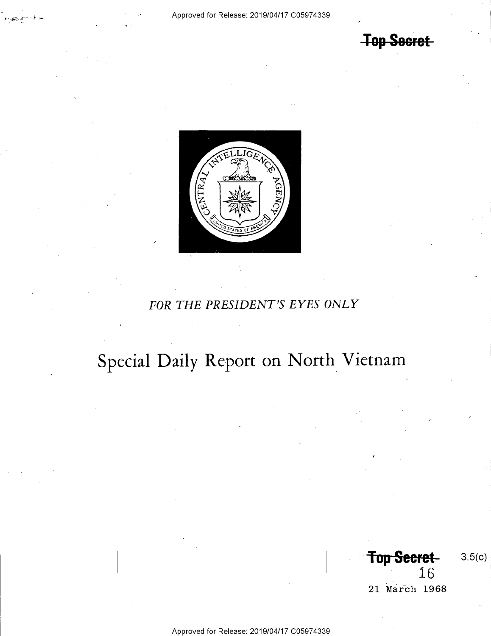# **Top Secret**



## FOR THE PRESIDENT'S EYES ONLY

# Special Daily Report on North Vietnam

**Top Secret**  $3.5(c)$ 16 21 March 1968

Approved for Release: 2019/04/17 C05974339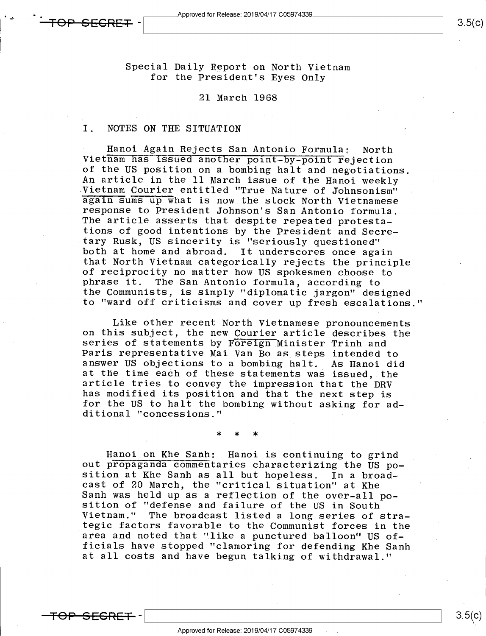Special Daily Report on North Vietnam for the President's Eyes Only

#### 21 March 1968

#### I. NOTES ON THE SITUATION

Hanoi Again Rejects San Antonio Formula: North<br>Vietnam has issued another point-by-point rejection<br>of the US position on a bombing halt and negotiations.<br>An article in the 11 March issue of the Hanoi weekly<br>Vietnam Courier response to President Johnson's San Antonio formula.<br>The article asserts that despite repeated protesta-<br>tions of good intentions by the President and Secre-<br>tary Rusk, US sincerity is "seriously questioned" both at home and abroad. It underscores once again<br>that North Vietnam categorically rejects the principle of reciprocity no matter how US spokesmen choose to<br>phrase it. The San Antonio formula, according to the Communists, is simply "diplomatic jargon" designed to "ward off criticisms and cover up fresh escalations

Like other recent North Vietnamese pronouncements<br>on this subject, the new Courier article describes the<br>series of statements by Foreign Minister Trinh and<br>Paris representative Mai Van Bo as steps intended to<br>answer US obj article tries to convey the impression that the DRV<br>has modified its position and that the next step is<br>for the US to halt the bombing without asking for ad-<br>ditional "concessions."

\* \* \*

Hanoi on Khe Sanh: Hanoi is continuing to grind<br>out propaganda commentaries characterizing the US po-<br>sition at Khe Sanh as all but hopeless. In a broad-<br>cast of 20 March, the "critical situation" at Khe<br>Sanh was held up a at all costs and have begun talking of withdrawal."

<del>SECRET.</del>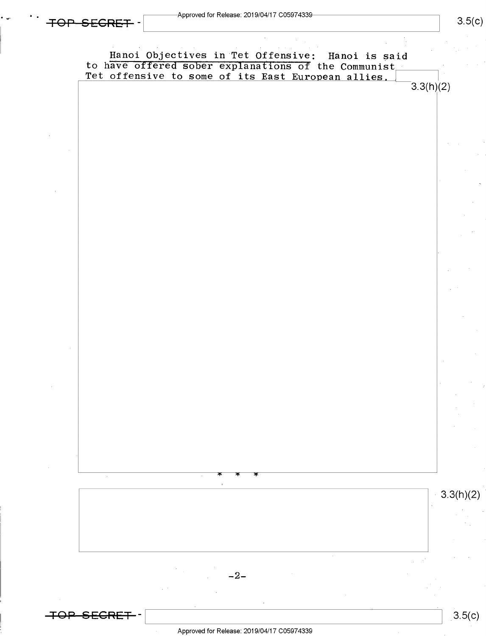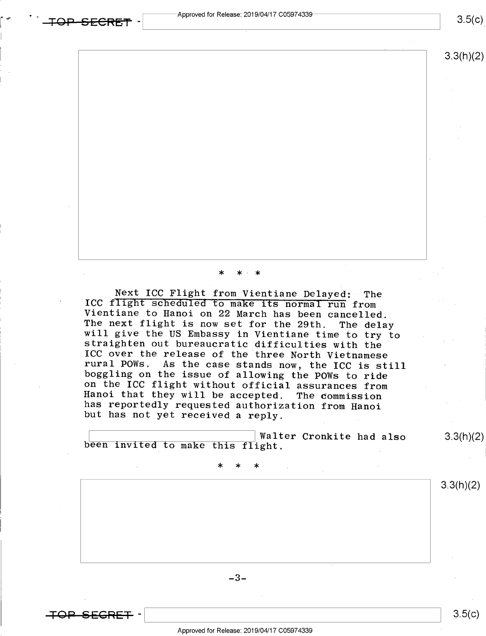<del>TOP SECRET</del>

 $3.5(c)$ 

## 3.3(h)(2)

### \* \*-\*

Next ICC Flight from Vientiane Delayed: The<br>ICC flight scheduled to make its normal run from<br>Vientiane to Hanoi on 22 March has been cancelled.<br>The next flight is now set for the 29th. The delay<br>will give the US Embassy in

 $\frac{1}{2}$  Walter Cronkite had also 3.3(h)(2) been invited to make this flight.

. The set of  $\mathcal{X} \times \mathcal{X} \times \mathcal{X}$ 

 $-3-$ 

 $\overline{+}$ OP—SEGRET—

 $\frac{3.5(k)}{5}$ 

 $3.3(h)(2)$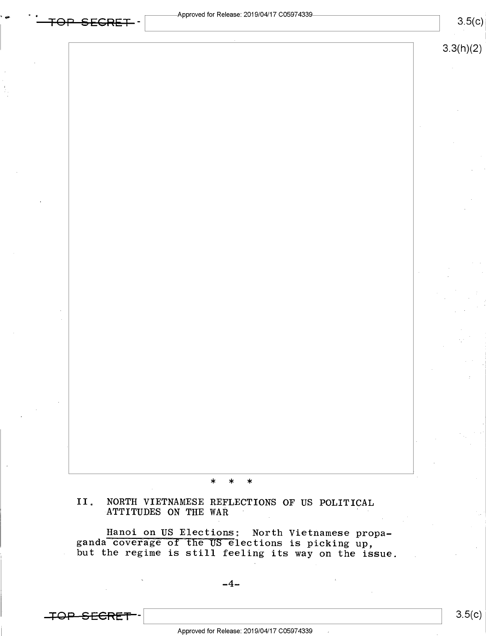$3.5(c)$ 

#### \* \* \*

# II. NORTH VIETNAMESE REFLECTIONS OF US POLITICAL ATTITUDES ON THE WAR '

Hanoi on US Elections: North Vietnamese propa-<br>ganda coverage of the US elections is picking up,<br>but the regime is still feeling its way on the issue.

**TOP SECRET**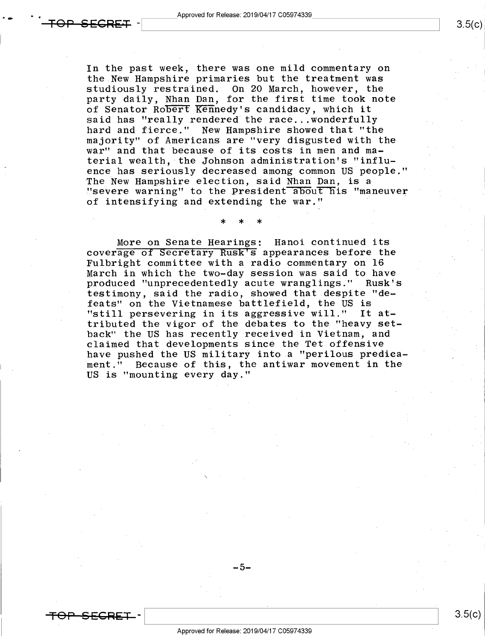<del>TOP SECRET</del>

In the past week, there was one mild commentary on the New Hampshire primaries but the treatment was studiously restrained. On 20 March, however, the party daily, Nhan Dan, for the first time took note of Senator Robert Kennedy's candidacy, which it said has "really rendered the race...wonderfully hard and fierce." New Hampshire showed that "the majority" of Americans are "very disgusted with the

war" and that because of its costs in men and material wealth, the Johnson administration's "influence has seriously decreased among common US people." The New Hampshire election, said Nhan Dan, is a "severe warning" to the President about his "maneuver of intensifying and extending the war." '

\* \* \*

More on Senate Hearings: Hanoi continued its coverage of Secretary Rusk<sup>t</sup>s appearances before the Fulbright committee with a radio commentary on 16 produced "unprecedentedly acute wranglings." Rusk's testimony, said the radio, showed that despite "defeats" on the Vietnamese battlefield, the US is "still persevering in its aggressive will." It attributed the vigor of the debates to the "heavy setback" the US has recently received in Vietnam, and claimed that developments since the Tet offensive have pushed the US military into a "perilous predicament." Because of this, the antiwar movement in the US is "mounting every day."

\_5\_

 $\overline{\phantom{0}}$ 

Approved for Release: 2019/04/17 C05974339